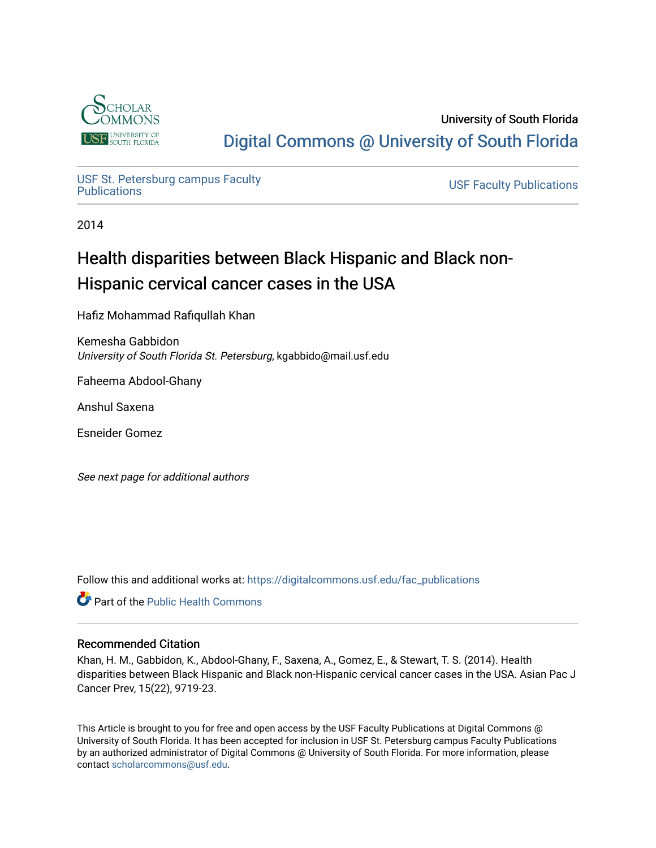

University of South Florida [Digital Commons @ University of South Florida](https://digitalcommons.usf.edu/) 

USF St. Petersburg campus Faculty<br>Publications

**USF Faculty Publications** 

2014

# Health disparities between Black Hispanic and Black non-Hispanic cervical cancer cases in the USA

Hafiz Mohammad Rafiqullah Khan

Kemesha Gabbidon University of South Florida St. Petersburg, kgabbido@mail.usf.edu

Faheema Abdool-Ghany

Anshul Saxena

Esneider Gomez

See next page for additional authors

Follow this and additional works at: [https://digitalcommons.usf.edu/fac\\_publications](https://digitalcommons.usf.edu/fac_publications?utm_source=digitalcommons.usf.edu%2Ffac_publications%2F3765&utm_medium=PDF&utm_campaign=PDFCoverPages)

**C** Part of the Public Health Commons

# Recommended Citation

Khan, H. M., Gabbidon, K., Abdool-Ghany, F., Saxena, A., Gomez, E., & Stewart, T. S. (2014). Health disparities between Black Hispanic and Black non-Hispanic cervical cancer cases in the USA. Asian Pac J Cancer Prev, 15(22), 9719-23.

This Article is brought to you for free and open access by the USF Faculty Publications at Digital Commons @ University of South Florida. It has been accepted for inclusion in USF St. Petersburg campus Faculty Publications by an authorized administrator of Digital Commons @ University of South Florida. For more information, please contact [scholarcommons@usf.edu](mailto:scholarcommons@usf.edu).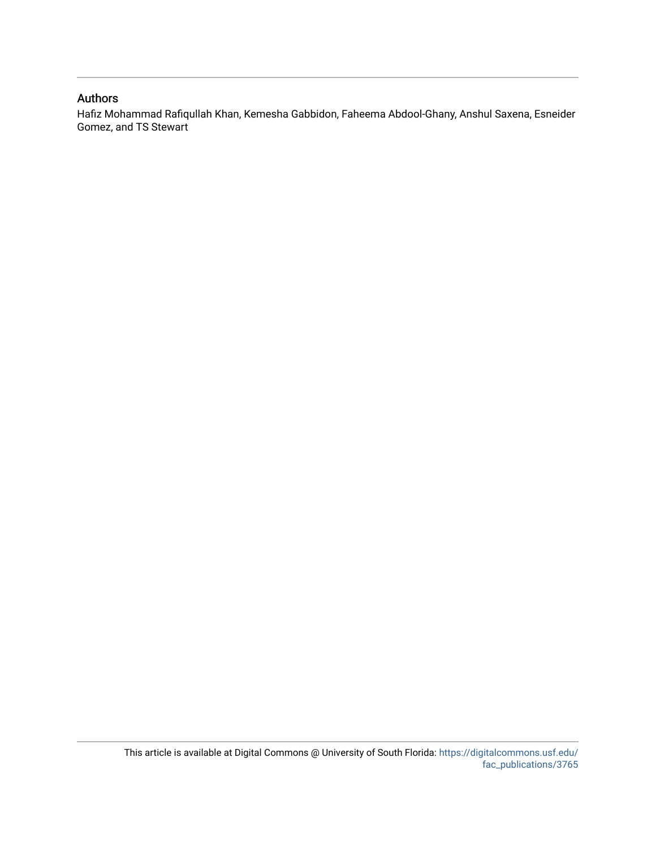# Authors

Hafiz Mohammad Rafiqullah Khan, Kemesha Gabbidon, Faheema Abdool-Ghany, Anshul Saxena, Esneider Gomez, and TS Stewart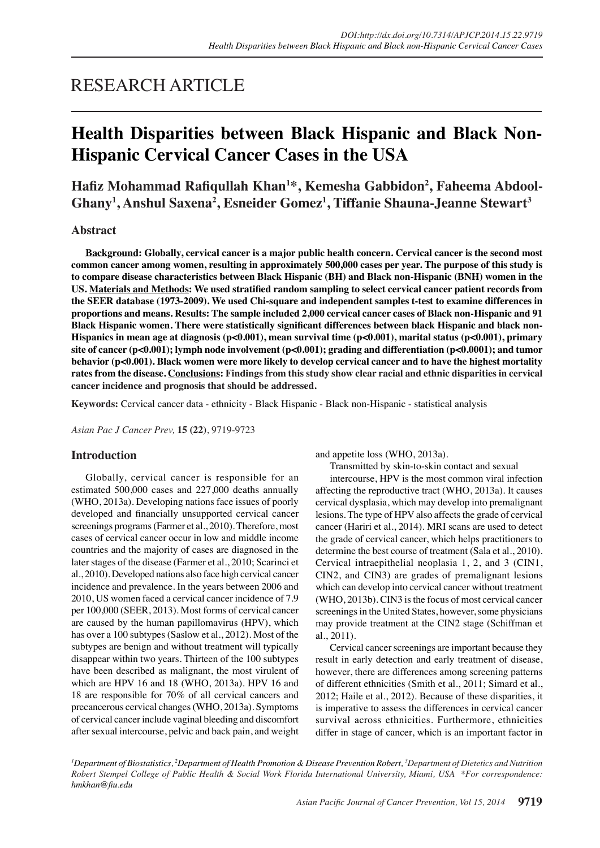# RESEARCH ARTICLE

# **Health Disparities between Black Hispanic and Black Non-Hispanic Cervical Cancer Cases in the USA**

**Hafiz Mohammad Rafiqullah Khan<sup>1</sup> \*, Kemesha Gabbidon2 , Faheema Abdool-Ghany1 , Anshul Saxena2 , Esneider Gomez<sup>1</sup> , Tiffanie Shauna-Jeanne Stewart3**

## **Abstract**

**Background: Globally, cervical cancer is a major public health concern. Cervical cancer is the second most common cancer among women, resulting in approximately 500,000 cases per year. The purpose of this study is to compare disease characteristics between Black Hispanic (BH) and Black non-Hispanic (BNH) women in the US. Materials and Methods: We used stratified random sampling to select cervical cancer patient records from the SEER database (1973-2009). We used Chi-square and independent samples t-test to examine differences in proportions and means. Results: The sample included 2,000 cervical cancer cases of Black non-Hispanic and 91 Black Hispanic women. There were statistically significant differences between black Hispanic and black non-Hispanics in mean age at diagnosis (p<0.001), mean survival time (p<0.001), marital status (p<0.001), primary site of cancer (p<0.001); lymph node involvement (p<0.001); grading and differentiation (p<0.0001); and tumor behavior (p<0.001). Black women were more likely to develop cervical cancer and to have the highest mortality rates from the disease. Conclusions: Findings from this study show clear racial and ethnic disparities in cervical cancer incidence and prognosis that should be addressed.**

**Keywords:** Cervical cancer data - ethnicity - Black Hispanic - Black non-Hispanic - statistical analysis

*Asian Pac J Cancer Prev,* **15 (22)**, 9719-9723

### **Introduction**

Globally, cervical cancer is responsible for an estimated 500,000 cases and 227,000 deaths annually (WHO, 2013a). Developing nations face issues of poorly developed and financially unsupported cervical cancer screenings programs (Farmer et al., 2010). Therefore, most cases of cervical cancer occur in low and middle income countries and the majority of cases are diagnosed in the later stages of the disease (Farmer et al., 2010; Scarinci et al., 2010). Developed nations also face high cervical cancer incidence and prevalence. In the years between 2006 and 2010, US women faced a cervical cancer incidence of 7.9 per 100,000 (SEER, 2013). Most forms of cervical cancer are caused by the human papillomavirus (HPV), which has over a 100 subtypes (Saslow et al., 2012). Most of the subtypes are benign and without treatment will typically disappear within two years. Thirteen of the 100 subtypes have been described as malignant, the most virulent of which are HPV 16 and 18 (WHO, 2013a). HPV 16 and 18 are responsible for 70% of all cervical cancers and precancerous cervical changes (WHO, 2013a). Symptoms of cervical cancer include vaginal bleeding and discomfort after sexual intercourse, pelvic and back pain, and weight and appetite loss (WHO, 2013a).

Transmitted by skin-to-skin contact and sexual

intercourse, HPV is the most common viral infection affecting the reproductive tract (WHO, 2013a). It causes cervical dysplasia, which may develop into premalignant lesions. The type of HPV also affects the grade of cervical cancer (Hariri et al., 2014). MRI scans are used to detect the grade of cervical cancer, which helps practitioners to determine the best course of treatment (Sala et al., 2010). Cervical intraepithelial neoplasia 1, 2, and 3 (CIN1, CIN2, and CIN3) are grades of premalignant lesions which can develop into cervical cancer without treatment (WHO, 2013b). CIN3 is the focus of most cervical cancer screenings in the United States, however, some physicians may provide treatment at the CIN2 stage (Schiffman et al., 2011).

Cervical cancer screenings are important because they result in early detection and early treatment of disease, however, there are differences among screening patterns of different ethnicities (Smith et al., 2011; Simard et al., 2012; Haile et al., 2012). Because of these disparities, it is imperative to assess the differences in cervical cancer survival across ethnicities. Furthermore, ethnicities differ in stage of cancer, which is an important factor in

*1 Department of Biostatistics, 2 Department of Health Promotion & Disease Prevention Robert, 3 Department of Dietetics and Nutrition Robert Stempel College of Public Health & Social Work Florida International University, Miami, USA \*For correspondence: hmkhan@fiu.edu*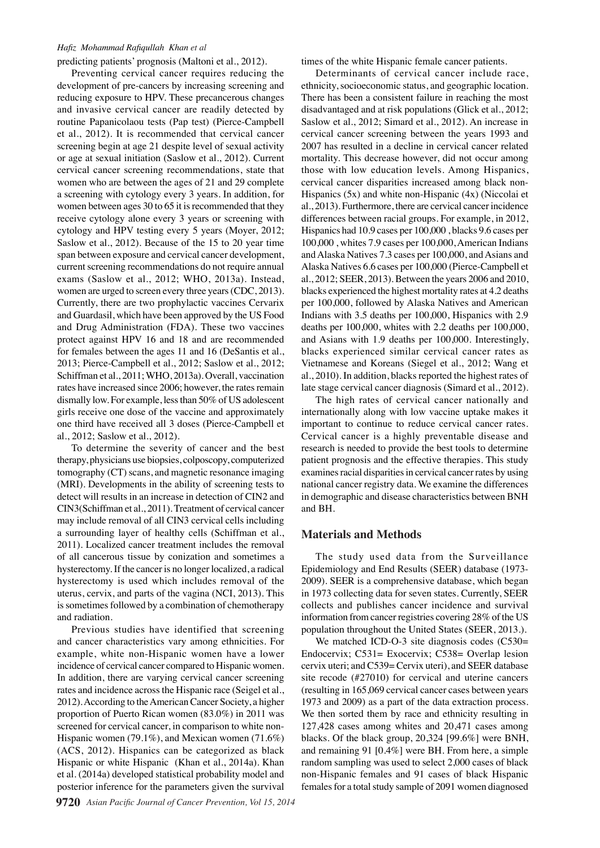#### *Hafiz Mohammad Rafiqullah Khan et al*

predicting patients' prognosis (Maltoni et al., 2012).

Preventing cervical cancer requires reducing the development of pre-cancers by increasing screening and reducing exposure to HPV. These precancerous changes and invasive cervical cancer are readily detected by routine Papanicolaou tests (Pap test) (Pierce-Campbell et al., 2012). It is recommended that cervical cancer screening begin at age 21 despite level of sexual activity or age at sexual initiation (Saslow et al., 2012). Current cervical cancer screening recommendations, state that women who are between the ages of 21 and 29 complete a screening with cytology every 3 years. In addition, for women between ages 30 to 65 it is recommended that they receive cytology alone every 3 years or screening with cytology and HPV testing every 5 years (Moyer, 2012; Saslow et al., 2012). Because of the 15 to 20 year time span between exposure and cervical cancer development, current screening recommendations do not require annual exams (Saslow et al., 2012; WHO, 2013a). Instead, women are urged to screen every three years (CDC, 2013). Currently, there are two prophylactic vaccines Cervarix and Guardasil, which have been approved by the US Food and Drug Administration (FDA). These two vaccines protect against HPV 16 and 18 and are recommended for females between the ages 11 and 16 (DeSantis et al., 2013; Pierce-Campbell et al., 2012; Saslow et al., 2012; Schiffman et al., 2011; WHO, 2013a). Overall, vaccination rates have increased since 2006; however, the rates remain dismally low. For example, less than 50% of US adolescent girls receive one dose of the vaccine and approximately one third have received all 3 doses (Pierce-Campbell et al., 2012; Saslow et al., 2012).

To determine the severity of cancer and the best therapy, physicians use biopsies, colposcopy, computerized tomography (CT) scans, and magnetic resonance imaging (MRI). Developments in the ability of screening tests to detect will results in an increase in detection of CIN2 and CIN3(Schiffman et al., 2011). Treatment of cervical cancer may include removal of all CIN3 cervical cells including a surrounding layer of healthy cells (Schiffman et al., 2011). Localized cancer treatment includes the removal of all cancerous tissue by conization and sometimes a hysterectomy. If the cancer is no longer localized, a radical hysterectomy is used which includes removal of the uterus, cervix, and parts of the vagina (NCI, 2013). This is sometimes followed by a combination of chemotherapy and radiation.

Previous studies have identified that screening and cancer characteristics vary among ethnicities. For example, white non-Hispanic women have a lower incidence of cervical cancer compared to Hispanic women. In addition, there are varying cervical cancer screening rates and incidence across the Hispanic race (Seigel et al., 2012). According to the American Cancer Society, a higher proportion of Puerto Rican women (83.0%) in 2011 was screened for cervical cancer, in comparison to white non-Hispanic women (79.1%), and Mexican women (71.6%) (ACS, 2012). Hispanics can be categorized as black Hispanic or white Hispanic (Khan et al., 2014a). Khan et al. (2014a) developed statistical probability model and posterior inference for the parameters given the survival

times of the white Hispanic female cancer patients.

Determinants of cervical cancer include race, ethnicity, socioeconomic status, and geographic location. There has been a consistent failure in reaching the most disadvantaged and at risk populations (Glick et al., 2012; Saslow et al., 2012; Simard et al., 2012). An increase in cervical cancer screening between the years 1993 and 2007 has resulted in a decline in cervical cancer related mortality. This decrease however, did not occur among those with low education levels. Among Hispanics, cervical cancer disparities increased among black non-Hispanics (5x) and white non-Hispanic (4x) (Niccolai et al., 2013). Furthermore, there are cervical cancer incidence differences between racial groups. For example, in 2012, Hispanics had 10.9 cases per 100,000 , blacks 9.6 cases per 100,000 , whites 7.9 cases per 100,000, American Indians and Alaska Natives 7.3 cases per 100,000, and Asians and Alaska Natives 6.6 cases per 100,000 (Pierce-Campbell et al., 2012; SEER, 2013). Between the years 2006 and 2010, blacks experienced the highest mortality rates at 4.2 deaths per 100,000, followed by Alaska Natives and American Indians with 3.5 deaths per 100,000, Hispanics with 2.9 deaths per 100,000, whites with 2.2 deaths per 100,000, and Asians with 1.9 deaths per 100,000. Interestingly, blacks experienced similar cervical cancer rates as Vietnamese and Koreans (Siegel et al., 2012; Wang et al., 2010). In addition, blacks reported the highest rates of late stage cervical cancer diagnosis (Simard et al., 2012).

The high rates of cervical cancer nationally and internationally along with low vaccine uptake makes it important to continue to reduce cervical cancer rates. Cervical cancer is a highly preventable disease and research is needed to provide the best tools to determine patient prognosis and the effective therapies. This study examines racial disparities in cervical cancer rates by using national cancer registry data. We examine the differences in demographic and disease characteristics between BNH and BH.

## **Materials and Methods**

The study used data from the Surveillance Epidemiology and End Results (SEER) database (1973- 2009). SEER is a comprehensive database, which began in 1973 collecting data for seven states. Currently, SEER collects and publishes cancer incidence and survival information from cancer registries covering 28% of the US population throughout the United States (SEER, 2013.).

We matched ICD-O-3 site diagnosis codes (C530= Endocervix; C531= Exocervix; C538= Overlap lesion cervix uteri; and C539= Cervix uteri), and SEER database site recode (#27010) for cervical and uterine cancers (resulting in 165,069 cervical cancer cases between years 1973 and 2009) as a part of the data extraction process. We then sorted them by race and ethnicity resulting in 127,428 cases among whites and 20,471 cases among blacks. Of the black group, 20,324 [99.6%] were BNH, and remaining 91 [0.4%] were BH. From here, a simple random sampling was used to select 2,000 cases of black non-Hispanic females and 91 cases of black Hispanic females for a total study sample of 2091 women diagnosed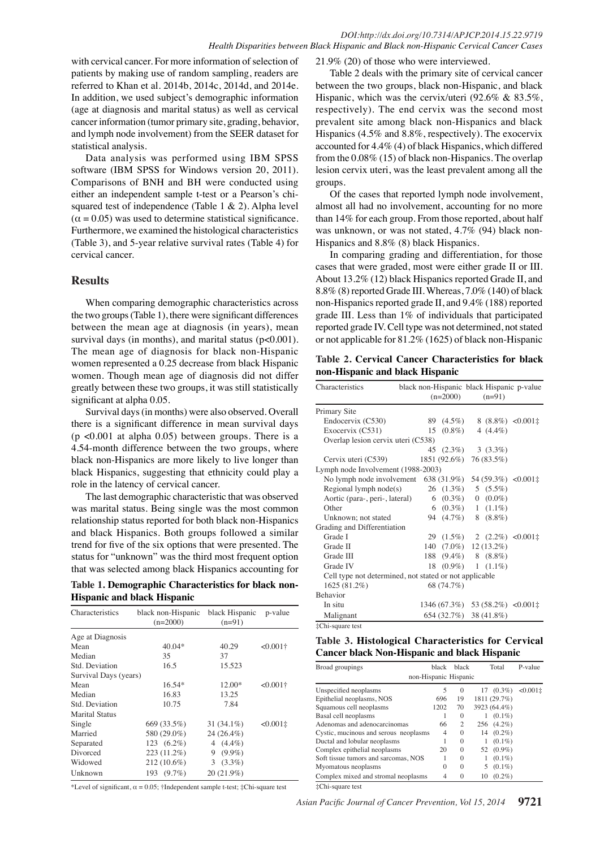with cervical cancer. For more information of selection of patients by making use of random sampling, readers are referred to Khan et al. 2014b, 2014c, 2014d, and 2014e. In addition, we used subject's demographic information (age at diagnosis and marital status) as well as cervical cancer information (tumor primary site, grading, behavior, and lymph node involvement) from the SEER dataset for statistical analysis.

Data analysis was performed using IBM SPSS software (IBM SPSS for Windows version 20, 2011). Comparisons of BNH and BH were conducted using either an independent sample t-test or a Pearson's chisquared test of independence (Table 1 & 2). Alpha level  $(\alpha = 0.05)$  was used to determine statistical significance. Furthermore, we examined the histological characteristics (Table 3), and 5-year relative survival rates (Table 4) for cervical cancer.

## **Results**

When comparing demographic characteristics across the two groups (Table 1), there were significant differences between the mean age at diagnosis (in years), mean survival days (in months), and marital status  $(p<0.001)$ . The mean age of diagnosis for black non-Hispanic women represented a 0.25 decrease from black Hispanic women. Though mean age of diagnosis did not differ greatly between these two groups, it was still statistically significant at alpha 0.05.

Survival days (in months) were also observed. Overall there is a significant difference in mean survival days (p <0.001 at alpha 0.05) between groups. There is a 4.54-month difference between the two groups, where black non-Hispanics are more likely to live longer than black Hispanics, suggesting that ethnicity could play a role in the latency of cervical cancer.

The last demographic characteristic that was observed was marital status. Being single was the most common relationship status reported for both black non-Hispanics and black Hispanics. Both groups followed a similar trend for five of the six options that were presented. The status for "unknown" was the third most frequent option that was selected among black Hispanics accounting for

| Table 1. Demographic Characteristics for black non- |  |  |
|-----------------------------------------------------|--|--|
| <b>Hispanic and black Hispanic</b>                  |  |  |

| Characteristics       | black non-Hispanic<br>$(n=2000)$ | black Hispanic<br>$(n=91)$ | p-value         |
|-----------------------|----------------------------------|----------------------------|-----------------|
| Age at Diagnosis      |                                  |                            |                 |
| Mean                  | $40.04*$                         | 40.29                      | $<0.001\dagger$ |
| Median                | 35                               | 37                         |                 |
| Std. Deviation        | 16.5                             | 15.523                     |                 |
| Survival Days (years) |                                  |                            |                 |
| Mean                  | $16.54*$                         | $12.00*$                   | $<0.001\dagger$ |
| Median                | 16.83                            | 13.25                      |                 |
| Std. Deviation        | 10.75                            | 7.84                       |                 |
| <b>Marital Status</b> |                                  |                            |                 |
| Single                | 669 (33.5%)                      | $31(34.1\%)$               | $<0.001\pm$     |
| Married               | 580 (29.0%)                      | 24 (26.4%)                 |                 |
| Separated             | 123 (6.2%)                       | 4 $(4.4\%)$                |                 |
| Divorced              | 223 (11.2%)                      | $(9.9\%)$<br>9             |                 |
| Widowed               | $212(10.6\%)$                    | $(3.3\%)$<br>3             |                 |
| Unknown               | 193 (9.7%)                       | 20 (21.9%)                 |                 |

\*Level of significant,  $\alpha = 0.05$ ; †Independent sample t-test; ‡Chi-square test

21.9% (20) of those who were interviewed.

Table 2 deals with the primary site of cervical cancer between the two groups, black non-Hispanic, and black Hispanic, which was the cervix/uteri (92.6% & 83.5%, respectively). The end cervix was the second most prevalent site among black non-Hispanics and black Hispanics (4.5% and 8.8%, respectively). The exocervix accounted for 4.4% (4) of black Hispanics, which differed from the 0.08% (15) of black non-Hispanics. The overlap lesion cervix uteri, was the least prevalent among all the groups.

Of the cases that reported lymph node involvement, almost all had no involvement, accounting for no more than 14% for each group. From those reported, about half was unknown, or was not stated, 4.7% (94) black non-Hispanics and 8.8% (8) black Hispanics.

In comparing grading and differentiation, for those cases that were graded, most were either grade II or III. About 13.2% (12) black Hispanics reported Grade II, and 8.8% (8) reported Grade III. Whereas, 7.0% (140) of black non-Hispanics reported grade II, and 9.4% (188) reported grade III. Less than 1% of individuals that participated reported grade IV. Cell type was not determined, not stated or not applicable for 81.2% (1625) of black non-Hispanic

**Table 2. Cervical Cancer Characteristics for black non-Hispanic and black Hispanic**

| Characteristics                                                    |                                                        | black non-Hispanic black Hispanic p-value |              |                         |                                              |  |  |  |  |
|--------------------------------------------------------------------|--------------------------------------------------------|-------------------------------------------|--------------|-------------------------|----------------------------------------------|--|--|--|--|
|                                                                    |                                                        | $(n=2000)$                                |              | $(n=91)$                |                                              |  |  |  |  |
| Primary Site                                                       |                                                        |                                           |              |                         |                                              |  |  |  |  |
| Endocervix (C530)                                                  |                                                        |                                           |              |                         | 89 (4.5%) 8 (8.8%) < 0.001 $\ddagger$        |  |  |  |  |
| Exocervix (C531)                                                   | 15                                                     | $(0.8\%)$                                 |              | 4 $(4.4\%)$             |                                              |  |  |  |  |
| Overlap lesion cervix uteri (C538)                                 |                                                        |                                           |              |                         |                                              |  |  |  |  |
|                                                                    |                                                        |                                           |              | $45(2.3\%)$ $3(3.3\%)$  |                                              |  |  |  |  |
| Cervix uteri (C539)                                                |                                                        | 1851 (92.6%) 76 (83.5%)                   |              |                         |                                              |  |  |  |  |
| Lymph node Involvement (1988-2003)                                 |                                                        |                                           |              |                         |                                              |  |  |  |  |
| No lymph node involvement 638 (31.9%) 54 (59.3%) <0.001 $\ddagger$ |                                                        |                                           |              |                         |                                              |  |  |  |  |
| Regional lymph $node(s)$                                           |                                                        | $26(1.3\%)$                               |              | 5 $(5.5\%)$             |                                              |  |  |  |  |
| Aortic (para-, peri-, lateral)                                     | 6                                                      | $(0.3\%)$                                 |              | $0(0.0\%)$              |                                              |  |  |  |  |
| Other                                                              | 6                                                      | $(0.3\%)$                                 | $\mathbf{1}$ | $(1.1\%)$               |                                              |  |  |  |  |
| Unknown; not stated                                                | 94                                                     | $(4.7\%)$                                 | 8            | $(8.8\%)$               |                                              |  |  |  |  |
| Grading and Differentiation                                        |                                                        |                                           |              |                         |                                              |  |  |  |  |
| Grade I                                                            | 29                                                     |                                           |              |                         | $(1.5\%)$ 2 $(2.2\%)$ <0.001‡                |  |  |  |  |
| Grade II                                                           | 140                                                    |                                           |              | $(7.0\%)$ 12 $(13.2\%)$ |                                              |  |  |  |  |
| Grade III                                                          | 188                                                    |                                           |              | $(9.4\%)$ 8 $(8.8\%)$   |                                              |  |  |  |  |
| Grade IV                                                           | 18                                                     | $(0.9\%)$                                 |              | $1(1.1\%)$              |                                              |  |  |  |  |
|                                                                    | Cell type not determined, not stated or not applicable |                                           |              |                         |                                              |  |  |  |  |
| 1625 (81.2%)                                                       |                                                        | 68 (74.7%)                                |              |                         |                                              |  |  |  |  |
| <b>Behavior</b>                                                    |                                                        |                                           |              |                         |                                              |  |  |  |  |
| In situ                                                            |                                                        |                                           |              |                         | $1346(67.3\%)$ 53 (58.2%) < 0.001 $\ddagger$ |  |  |  |  |
| Malignant                                                          |                                                        | 654 (32.7%) 38 (41.8%)                    |              |                         |                                              |  |  |  |  |
| ‡Chi-square test                                                   |                                                        |                                           |              |                         |                                              |  |  |  |  |

## **Table 3. Histological Characteristics for Cervical Cancer black Non-Hispanic and black Hispanic**

| Broad groupings                       | black    | black          |    | Total        | P-value     |
|---------------------------------------|----------|----------------|----|--------------|-------------|
| non-Hispanic Hispanic                 |          |                |    |              |             |
| Unspecified neoplasms                 | 5        | $\Omega$       |    | $17(0.3\%)$  | $< 0.001$ ± |
| Epithelial neoplasms, NOS             | 696      | 19             |    | 1811 (29.7%) |             |
| Squamous cell neoplasms               | 1202     | 70             |    | 3923 (64.4%) |             |
| Basal cell neoplasms                  | 1        | $\Omega$       | L  | $(0.1\%)$    |             |
| Adenomas and adenocarcinomas          | 66       | $\overline{c}$ |    | 256 (4.2%)   |             |
| Cystic, mucinous and serous neoplasms | 4        | $\Omega$       | 14 | $(0.2\%)$    |             |
| Ductal and lobular neoplasms          |          | $\Omega$       |    | $(0.1\%)$    |             |
| Complex epithelial neoplasms          | 20       | $\Omega$       | 52 | $(0.9\%)$    |             |
| Soft tissue tumors and sarcomas, NOS  |          | $\Omega$       |    | $(0.1\%)$    |             |
| Myomatous neoplasms                   | $\Omega$ | $\Omega$       | 5  | $(0.1\%)$    |             |
| Complex mixed and stromal neoplasms   | 4        | 0              | 10 | $(0.2\%)$    |             |
| ‡Chi-square test                      |          |                |    |              |             |

*Asian Pacific Journal of Cancer Prevention, Vol 15, 2014* **9721**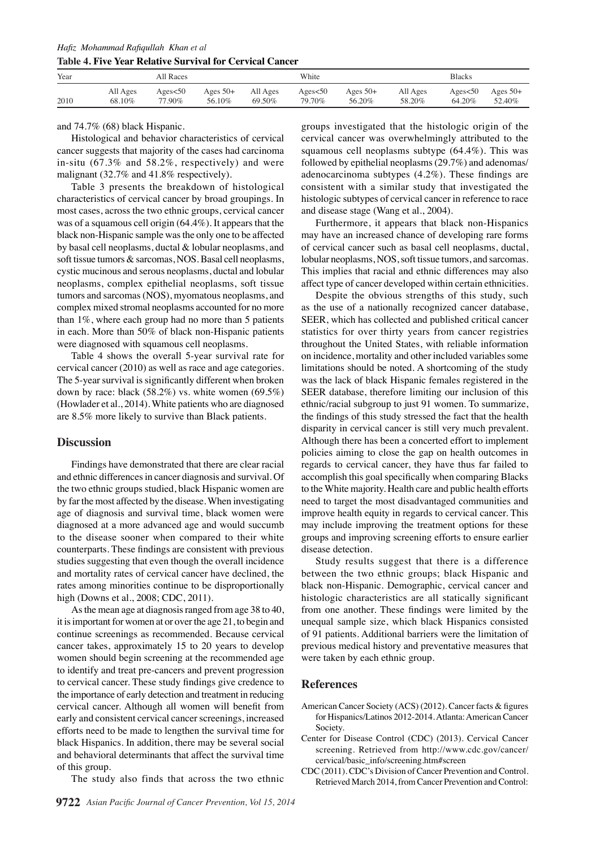*Hafiz Mohammad Rafiqullah Khan et al* **Table 4. Five Year Relative Survival for Cervical Cancer** 

| Year | All Races |         |            | White    |         |            | <b>Blacks</b> |         |            |
|------|-----------|---------|------------|----------|---------|------------|---------------|---------|------------|
| 2010 | All Ages  | Ages<50 | Ages $50+$ | All Ages | Ages<50 | Ages $50+$ | All Ages      | Ages<50 | Ages $50+$ |
|      | 68.10%    | 77.90%  | 56.10%     | 69.50%   | 79.70%  | 56.20%     | 58.20%        | 64.20%  | 52.40%     |

and 74.7% (68) black Hispanic.

Histological and behavior characteristics of cervical cancer suggests that majority of the cases had carcinoma in-situ (67.3% and 58.2%, respectively) and were malignant (32.7% and 41.8% respectively).

Table 3 presents the breakdown of histological characteristics of cervical cancer by broad groupings. In most cases, across the two ethnic groups, cervical cancer was of a squamous cell origin (64.4%). It appears that the black non-Hispanic sample was the only one to be affected by basal cell neoplasms, ductal & lobular neoplasms, and soft tissue tumors & sarcomas, NOS. Basal cell neoplasms, cystic mucinous and serous neoplasms, ductal and lobular neoplasms, complex epithelial neoplasms, soft tissue tumors and sarcomas (NOS), myomatous neoplasms, and complex mixed stromal neoplasms accounted for no more than 1%, where each group had no more than 5 patients in each. More than 50% of black non-Hispanic patients were diagnosed with squamous cell neoplasms.

Table 4 shows the overall 5-year survival rate for cervical cancer (2010) as well as race and age categories. The 5-year survival is significantly different when broken down by race: black  $(58.2\%)$  vs. white women  $(69.5\%)$ (Howlader et al., 2014). White patients who are diagnosed are 8.5% more likely to survive than Black patients.

### **Discussion**

Findings have demonstrated that there are clear racial and ethnic differences in cancer diagnosis and survival. Of the two ethnic groups studied, black Hispanic women are by far the most affected by the disease. When investigating age of diagnosis and survival time, black women were diagnosed at a more advanced age and would succumb to the disease sooner when compared to their white counterparts. These findings are consistent with previous studies suggesting that even though the overall incidence and mortality rates of cervical cancer have declined, the rates among minorities continue to be disproportionally high (Downs et al., 2008; CDC, 2011).

As the mean age at diagnosis ranged from age 38 to 40, it is important for women at or over the age 21, to begin and continue screenings as recommended. Because cervical cancer takes, approximately 15 to 20 years to develop women should begin screening at the recommended age to identify and treat pre-cancers and prevent progression to cervical cancer. These study findings give credence to the importance of early detection and treatment in reducing cervical cancer. Although all women will benefit from early and consistent cervical cancer screenings, increased efforts need to be made to lengthen the survival time for black Hispanics. In addition, there may be several social and behavioral determinants that affect the survival time of this group.

The study also finds that across the two ethnic

groups investigated that the histologic origin of the cervical cancer was overwhelmingly attributed to the squamous cell neoplasms subtype (64.4%). This was followed by epithelial neoplasms (29.7%) and adenomas/ adenocarcinoma subtypes (4.2%). These findings are consistent with a similar study that investigated the histologic subtypes of cervical cancer in reference to race and disease stage (Wang et al., 2004).

Furthermore, it appears that black non-Hispanics may have an increased chance of developing rare forms of cervical cancer such as basal cell neoplasms, ductal, lobular neoplasms, NOS, soft tissue tumors, and sarcomas. This implies that racial and ethnic differences may also affect type of cancer developed within certain ethnicities.

Despite the obvious strengths of this study, such as the use of a nationally recognized cancer database, SEER, which has collected and published critical cancer statistics for over thirty years from cancer registries throughout the United States, with reliable information on incidence, mortality and other included variables some limitations should be noted. A shortcoming of the study was the lack of black Hispanic females registered in the SEER database, therefore limiting our inclusion of this ethnic/racial subgroup to just 91 women. To summarize, the findings of this study stressed the fact that the health disparity in cervical cancer is still very much prevalent. Although there has been a concerted effort to implement policies aiming to close the gap on health outcomes in regards to cervical cancer, they have thus far failed to accomplish this goal specifically when comparing Blacks to the White majority. Health care and public health efforts need to target the most disadvantaged communities and improve health equity in regards to cervical cancer. This may include improving the treatment options for these groups and improving screening efforts to ensure earlier disease detection.

Study results suggest that there is a difference between the two ethnic groups; black Hispanic and black non-Hispanic. Demographic, cervical cancer and histologic characteristics are all statically significant from one another. These findings were limited by the unequal sample size, which black Hispanics consisted of 91 patients. Additional barriers were the limitation of previous medical history and preventative measures that were taken by each ethnic group.

## **References**

- American Cancer Society (ACS) (2012). Cancer facts & figures for Hispanics/Latinos 2012-2014. Atlanta: American Cancer Society.
- Center for Disease Control (CDC) (2013). Cervical Cancer screening. Retrieved from http://www.cdc.gov/cancer/ cervical/basic\_info/screening.htm#screen
- CDC (2011). CDC's Division of Cancer Prevention and Control. Retrieved March 2014, from Cancer Prevention and Control: